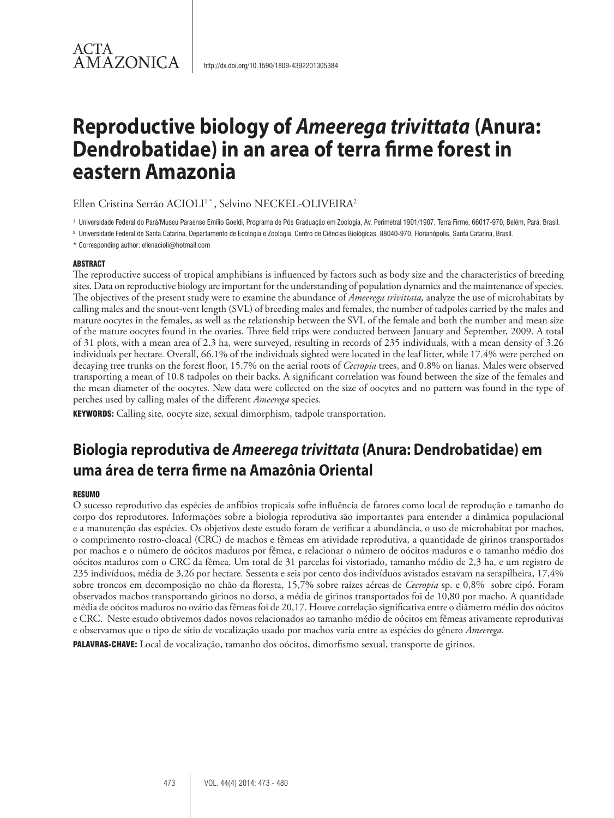## ACTA AMAZONICA

# **Reproductive biology of** *Ameerega trivittata* **(Anura: Dendrobatidae) in an area of terra firme forest in eastern Amazonia**

Ellen Cristina Serrão ACIOLI<sup>1</sup>\*, Selvino NECKEL-OLIVEIRA<sup>2</sup>

1 Universidade Federal do Pará/Museu Paraense Emílio Goeldi, Programa de Pós Graduação em Zoologia, Av. Perimetral 1901/1907, Terra Firme, 66017-970, Belém, Pará, Brasil.

² Universidade Federal de Santa Catarina, Departamento de Ecologia e Zoologia, Centro de Ciências Biológicas, 88040-970, Florianópolis, Santa Catarina, Brasil.

\* Corresponding author: ellenacioli@hotmail.com

#### ABSTRACT

The reproductive success of tropical amphibians is influenced by factors such as body size and the characteristics of breeding sites. Data on reproductive biology are important for the understanding of population dynamics and the maintenance of species. The objectives of the present study were to examine the abundance of *Ameerega trivittata,* analyze the use of microhabitats by calling males and the snout-vent length (SVL) of breeding males and females, the number of tadpoles carried by the males and mature oocytes in the females, as well as the relationship between the SVL of the female and both the number and mean size of the mature oocytes found in the ovaries. Three field trips were conducted between January and September, 2009. A total of 31 plots, with a mean area of 2.3 ha, were surveyed, resulting in records of 235 individuals, with a mean density of 3.26 individuals per hectare*.* Overall, 66.1% of the individuals sighted were located in the leaf litter, while 17.4% were perched on decaying tree trunks on the forest floor, 15.7% on the aerial roots of *Cecropia* trees, and 0.8% on lianas. Males were observed transporting a mean of 10.8 tadpoles on their backs. A significant correlation was found between the size of the females and the mean diameter of the oocytes. New data were collected on the size of oocytes and no pattern was found in the type of perches used by calling males of the different *Ameerega* species.

**KEYWORDS:** Calling site, oocyte size, sexual dimorphism, tadpole transportation.

## **Biologia reprodutiva de** *Ameerega trivittata* **(Anura: Dendrobatidae) em uma área de terra firme na Amazônia Oriental**

#### RESUMO

O sucesso reprodutivo das espécies de anfíbios tropicais sofre influência de fatores como local de reprodução e tamanho do corpo dos reprodutores. Informações sobre a biologia reprodutiva são importantes para entender a dinâmica populacional e a manutenção das espécies. Os objetivos deste estudo foram de verificar a abundância, o uso de microhabitat por machos, o comprimento rostro-cloacal (CRC) de machos e fêmeas em atividade reprodutiva, a quantidade de girinos transportados por machos e o número de oócitos maduros por fêmea, e relacionar o número de oócitos maduros e o tamanho médio dos oócitos maduros com o CRC da fêmea. Um total de 31 parcelas foi vistoriado, tamanho médio de 2,3 ha, e um registro de 235 indivíduos, média de 3,26 por hectare*.* Sessenta e seis por cento dos indivíduos avistados estavam na serapilheira, 17,4% sobre troncos em decomposição no chão da floresta, 15,7% sobre raízes aéreas de *Cecropia* sp. e 0,8% sobre cipó. Foram observados machos transportando girinos no dorso, a média de girinos transportados foi de 10,80 por macho. A quantidade média de oócitos maduros no ovário das fêmeas foi de 20,17. Houve correlação significativa entre o diâmetro médio dos oócitos e CRC. Neste estudo obtivemos dados novos relacionados ao tamanho médio de oócitos em fêmeas ativamente reprodutivas e observamos que o tipo de sítio de vocalização usado por machos varia entre as espécies do gênero *Ameerega*.

PALAVRAS-CHAVE: Local de vocalização, tamanho dos oócitos, dimorfismo sexual, transporte de girinos.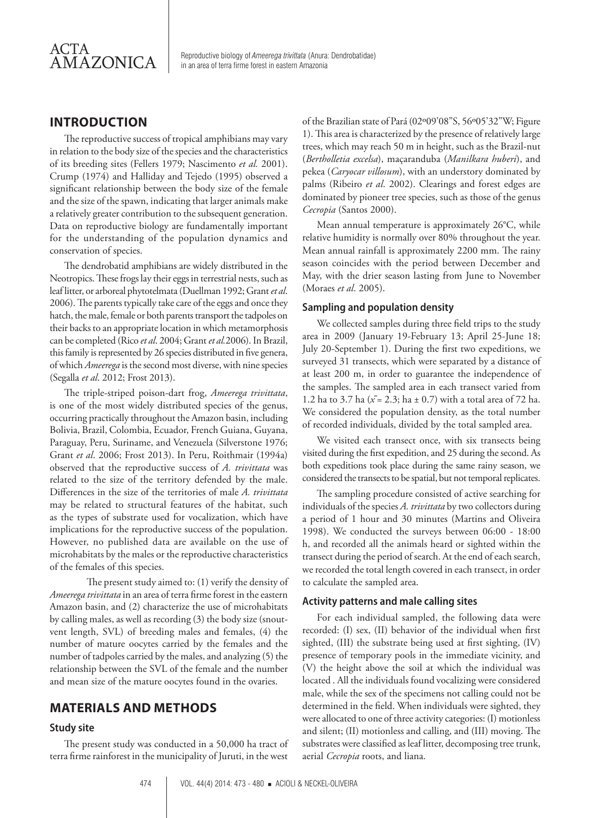

Reproductive biology of *Ameerega trivittata* (Anura: Dendrobatidae) in an area of terra firme forest in eastern Amazonia

## **INTRODUCTION**

The reproductive success of tropical amphibians may vary in relation to the body size of the species and the characteristics of its breeding sites (Fellers 1979; Nascimento *et al.* 2001). Crump (1974) and Halliday and Tejedo (1995) observed a significant relationship between the body size of the female and the size of the spawn, indicating that larger animals make a relatively greater contribution to the subsequent generation. Data on reproductive biology are fundamentally important for the understanding of the population dynamics and conservation of species.

The dendrobatid amphibians are widely distributed in the Neotropics. These frogs lay their eggs in terrestrial nests, such as leaf litter, or arboreal phytotelmata (Duellman 1992; Grant *et al*. 2006). The parents typically take care of the eggs and once they hatch, the male, female or both parents transport the tadpoles on their backs to an appropriate location in which metamorphosis can be completed (Rico *et al*. 2004; Grant *et al.*2006). In Brazil, this family is represented by 26 species distributed in five genera, of which *Ameerega* is the second most diverse, with nine species (Segalla *et al*. 2012; Frost 2013).

The triple-striped poison-dart frog, *Ameerega trivittata*, is one of the most widely distributed species of the genus, occurring practically throughout the Amazon basin, including Bolivia, Brazil, Colombia, Ecuador, French Guiana, Guyana, Paraguay, Peru, Suriname, and Venezuela (Silverstone 1976; Grant *et al*. 2006; Frost 2013). In Peru, Roithmair (1994a) observed that the reproductive success of *A. trivittata* was related to the size of the territory defended by the male. Differences in the size of the territories of male *A. trivittata* may be related to structural features of the habitat, such as the types of substrate used for vocalization, which have implications for the reproductive success of the population. However, no published data are available on the use of microhabitats by the males or the reproductive characteristics of the females of this species.

The present study aimed to: (1) verify the density of *Ameerega trivittata* in an area of terra firme forest in the eastern Amazon basin, and (2) characterize the use of microhabitats by calling males, as well as recording (3) the body size (snoutvent length, SVL) of breeding males and females, (4) the number of mature oocytes carried by the females and the number of tadpoles carried by the males, and analyzing (5) the relationship between the SVL of the female and the number and mean size of the mature oocytes found in the ovaries.

## **MATERIALS AND METHODS**

#### **Study site**

The present study was conducted in a 50,000 ha tract of terra firme rainforest in the municipality of Juruti, in the west

of the Brazilian state of Pará (02º09'08"S, 56º05'32"W; Figure 1). This area is characterized by the presence of relatively large trees, which may reach 50 m in height, such as the Brazil-nut (*Bertholletia excelsa*), maçaranduba (*Manilkara huberi*), and pekea (*Caryocar villosum*), with an understory dominated by palms (Ribeiro *et al*. 2002). Clearings and forest edges are dominated by pioneer tree species, such as those of the genus *Cecropia* (Santos 2000).

Mean annual temperature is approximately 26°C, while relative humidity is normally over 80% throughout the year. Mean annual rainfall is approximately 2200 mm. The rainy season coincides with the period between December and May, with the drier season lasting from June to November (Moraes *et al*. 2005).

#### **Sampling and population density**

We collected samples during three field trips to the study area in 2009 (January 19-February 13; April 25-June 18; July 20-September 1). During the first two expeditions, we surveyed 31 transects, which were separated by a distance of at least 200 m, in order to guarantee the independence of the samples. The sampled area in each transect varied from 1.2 ha to 3.7 ha (*x̄* = 2.3; ha ± 0.7) with a total area of 72 ha. We considered the population density, as the total number of recorded individuals, divided by the total sampled area.

We visited each transect once, with six transects being visited during the first expedition, and 25 during the second. As both expeditions took place during the same rainy season, we considered the transects to be spatial, but not temporal replicates.

The sampling procedure consisted of active searching for individuals of the species *A. trivittata* by two collectors during a period of 1 hour and 30 minutes (Martins and Oliveira 1998). We conducted the surveys between 06:00 - 18:00 h, and recorded all the animals heard or sighted within the transect during the period of search. At the end of each search, we recorded the total length covered in each transect, in order to calculate the sampled area.

#### **Activity patterns and male calling sites**

For each individual sampled, the following data were recorded: (I) sex, (II) behavior of the individual when first sighted, (III) the substrate being used at first sighting, (IV) presence of temporary pools in the immediate vicinity, and (V) the height above the soil at which the individual was located . All the individuals found vocalizing were considered male, while the sex of the specimens not calling could not be determined in the field. When individuals were sighted, they were allocated to one of three activity categories: (I) motionless and silent; (II) motionless and calling, and (III) moving. The substrates were classified as leaf litter, decomposing tree trunk, aerial *Cecropia* roots, and liana.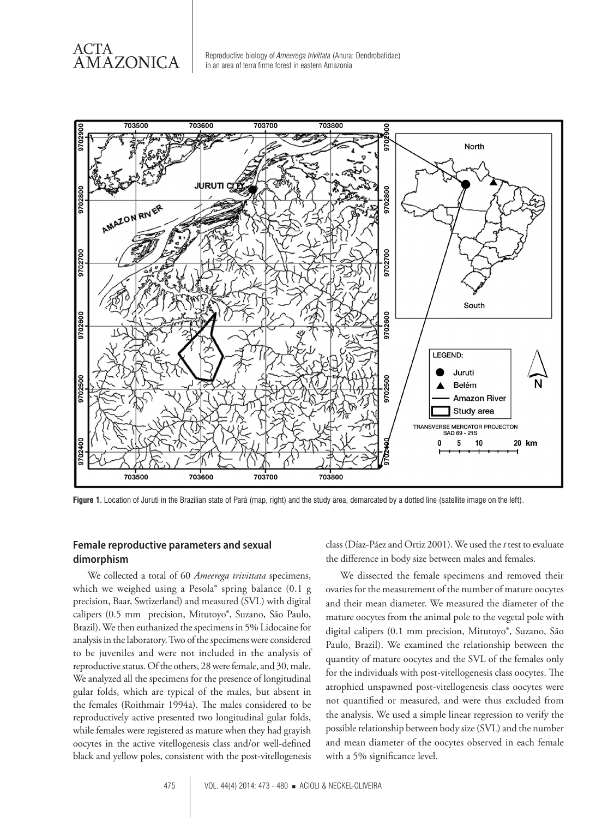Reproductive biology of *Ameerega trivittata* (Anura: Dendrobatidae) in an area of terra firme forest in eastern Amazonia



**Figure 1.** Location of Juruti in the Brazilian state of Pará (map, right) and the study area, demarcated by a dotted line (satellite image on the left).

## **Female reproductive parameters and sexual dimorphism**

We collected a total of 60 *Ameerega trivittata* specimens, which we weighed using a Pesola® spring balance (0.1 g precision, Baar, Swtizerland) and measured (SVL) with digital calipers (0.5 mm precision, Mitutoyo®, Suzano, São Paulo, Brazil). We then euthanized the specimens in 5% Lidocaine for analysis in the laboratory. Two of the specimens were considered to be juveniles and were not included in the analysis of reproductive status. Of the others, 28 were female, and 30, male. We analyzed all the specimens for the presence of longitudinal gular folds, which are typical of the males, but absent in the females (Roithmair 1994a). The males considered to be reproductively active presented two longitudinal gular folds, while females were registered as mature when they had grayish oocytes in the active vitellogenesis class and/or well-defined black and yellow poles, consistent with the post-vitellogenesis

class (Díaz-Páez and Ortiz 2001). We used the *t* test to evaluate the difference in body size between males and females.

We dissected the female specimens and removed their ovaries for the measurement of the number of mature oocytes and their mean diameter. We measured the diameter of the mature oocytes from the animal pole to the vegetal pole with digital calipers (0.1 mm precision, Mitutoyo®, Suzano, São Paulo, Brazil). We examined the relationship between the quantity of mature oocytes and the SVL of the females only for the individuals with post-vitellogenesis class oocytes. The atrophied unspawned post-vitellogenesis class oocytes were not quantified or measured, and were thus excluded from the analysis. We used a simple linear regression to verify the possible relationship between body size (SVL) and the number and mean diameter of the oocytes observed in each female with a 5% significance level.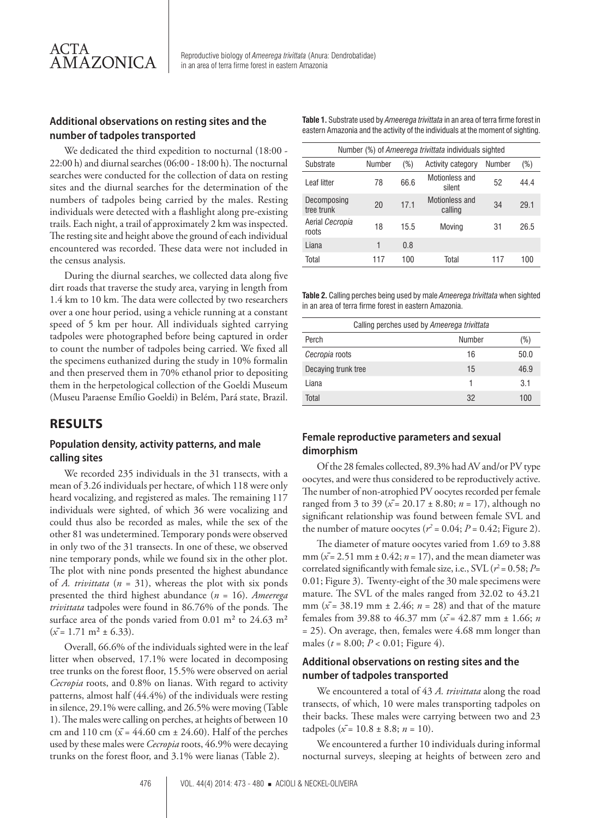## **Additional observations on resting sites and the number of tadpoles transported**

**Table 1.** Substrate used by *Ameerega trivittata* in an area of terra firme forest in eastern Amazonia and the activity of the individuals at the moment of sighting.

We dedicated the third expedition to nocturnal (18:00 - 22:00 h) and diurnal searches (06:00 - 18:00 h). The nocturnal searches were conducted for the collection of data on resting sites and the diurnal searches for the determination of the numbers of tadpoles being carried by the males. Resting individuals were detected with a flashlight along pre-existing trails. Each night, a trail of approximately 2 km was inspected. The resting site and height above the ground of each individual encountered was recorded. These data were not included in the census analysis.

During the diurnal searches, we collected data along five dirt roads that traverse the study area, varying in length from 1.4 km to 10 km. The data were collected by two researchers over a one hour period, using a vehicle running at a constant speed of 5 km per hour. All individuals sighted carrying tadpoles were photographed before being captured in order to count the number of tadpoles being carried. We fixed all the specimens euthanized during the study in 10% formalin and then preserved them in 70% ethanol prior to depositing them in the herpetological collection of the Goeldi Museum (Museu Paraense Emílio Goeldi) in Belém, Pará state, Brazil.

## **RESULTS**

#### **Population density, activity patterns, and male calling sites**

We recorded 235 individuals in the 31 transects, with a mean of 3.26 individuals per hectare, of which 118 were only heard vocalizing, and registered as males. The remaining 117 individuals were sighted, of which 36 were vocalizing and could thus also be recorded as males, while the sex of the other 81 was undetermined. Temporary ponds were observed in only two of the 31 transects. In one of these, we observed nine temporary ponds, while we found six in the other plot. The plot with nine ponds presented the highest abundance of *A. trivittata* (*n* = 31), whereas the plot with six ponds presented the third highest abundance (*n* = 16). *Ameerega trivittata* tadpoles were found in 86.76% of the ponds*.* The surface area of the ponds varied from 0.01 m<sup>2</sup> to 24.63 m<sup>2</sup>  $(x = 1.71 \text{ m}^2 \pm 6.33).$ 

Overall, 66.6% of the individuals sighted were in the leaf litter when observed, 17.1% were located in decomposing tree trunks on the forest floor, 15.5% were observed on aerial *Cecropia* roots, and 0.8% on lianas. With regard to activity patterns, almost half (44.4%) of the individuals were resting in silence, 29.1% were calling, and 26.5% were moving (Table 1). The males were calling on perches, at heights of between 10 cm and 110 cm ( $\bar{x}$  = 44.60 cm  $\pm$  24.60). Half of the perches used by these males were *Cecropia* roots, 46.9% were decaying trunks on the forest floor, and 3.1% were lianas (Table 2).

| Number (%) of Ameerega trivittata individuals sighted |        |        |                           |        |        |  |  |
|-------------------------------------------------------|--------|--------|---------------------------|--------|--------|--|--|
| Substrate                                             | Number | $(\%)$ | Activity category         | Number | $(\%)$ |  |  |
| I eaf litter                                          | 78     | 66.6   | Motionless and<br>silent  | 52     | 44.4   |  |  |
| Decomposing<br>tree trunk                             | 20     | 17.1   | Motionless and<br>calling | 34     | 29.1   |  |  |
| Aerial Cecropia<br>roots                              | 18     | 15.5   | Moving                    | 31     | 26.5   |  |  |
| I jana                                                | 1      | 0.8    |                           |        |        |  |  |
| Total                                                 | 117    | 100    | Total                     | 117    | 100    |  |  |

**Table 2.** Calling perches being used by male *Ameerega trivittata* when sighted in an area of terra firme forest in eastern Amazonia.

| Calling perches used by Ameerega trivittata |        |      |  |  |  |
|---------------------------------------------|--------|------|--|--|--|
| Perch                                       | Number | (%)  |  |  |  |
| Cecropia roots                              | 16     | 50.0 |  |  |  |
| Decaying trunk tree                         | 15     | 46.9 |  |  |  |
| Liana                                       |        | 3.1  |  |  |  |
| Total                                       | 32     | 100  |  |  |  |

#### **Female reproductive parameters and sexual dimorphism**

Of the 28 females collected, 89.3% had AV and/or PV type oocytes, and were thus considered to be reproductively active. The number of non-atrophied PV oocytes recorded per female ranged from 3 to 39 ( $\bar{x}$  = 20.17  $\pm$  8.80;  $n = 17$ ), although no significant relationship was found between female SVL and the number of mature oocytes ( $r^2$  = 0.04;  $P$  = 0.42; Figure 2).

The diameter of mature oocytes varied from 1.69 to 3.88 mm  $(\bar{x} = 2.51 \text{ mm} \pm 0.42; n = 17)$ , and the mean diameter was correlated significantly with female size, i.e., SVL ( $r^2$  = 0.58;  $P =$ 0.01; Figure 3). Twenty-eight of the 30 male specimens were mature. The SVL of the males ranged from 32.02 to 43.21 mm (*x̄* = 38.19 mm ± 2.46; *n* = 28) and that of the mature females from 39.88 to 46.37 mm (*x̄* = 42.87 mm ± 1.66; *n* = 25). On average, then, females were 4.68 mm longer than males (*t* = 8.00; *P* < 0.01; Figure 4).

#### **Additional observations on resting sites and the number of tadpoles transported**

We encountered a total of 43 *A. trivittata* along the road transects, of which, 10 were males transporting tadpoles on their backs. These males were carrying between two and 23 tadpoles  $(x = 10.8 \pm 8.8; n = 10)$ .

We encountered a further 10 individuals during informal nocturnal surveys, sleeping at heights of between zero and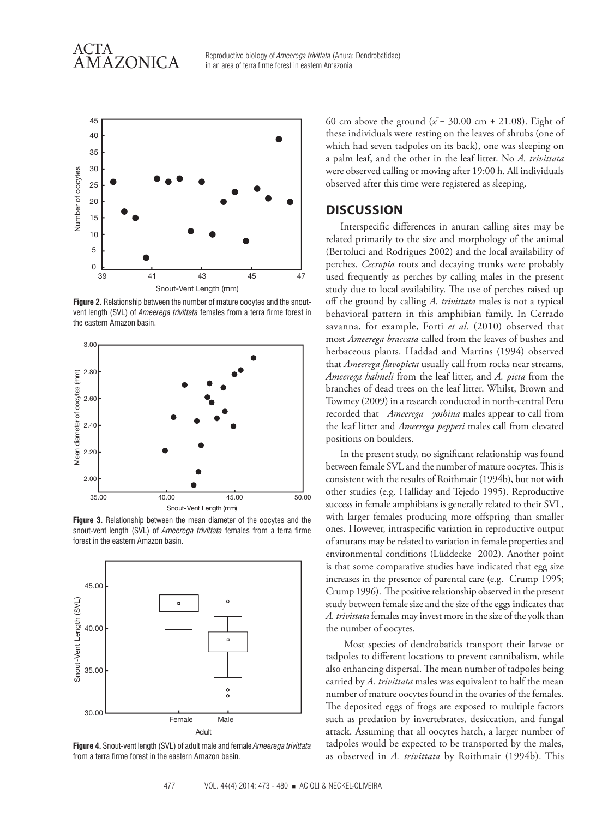## ACTA **AMAZONICA**

Reproductive biology of *Ameerega trivittata* (Anura: Dendrobatidae) in an area of terra firme forest in eastern Amazonia



**Figure 2.** Relationship between the number of mature oocytes and the snoutvent length (SVL) of *Ameerega trivittata* females from a terra firme forest in the eastern Amazon basin.



snout-vent length (SVL) of *Ameerega trivittata* females from a terra firme forest in the eastern Amazon basin.



**Figure 4.** Snout-vent length (SVL) of adult male and female *Ameerega trivittata* from a terra firme forest in the eastern Amazon basin.

60 cm above the ground ( $\bar{x}$  = 30.00 cm  $\pm$  21.08). Eight of these individuals were resting on the leaves of shrubs (one of which had seven tadpoles on its back), one was sleeping on a palm leaf, and the other in the leaf litter. No *A. trivittata* were observed calling or moving after 19:00 h. All individuals observed after this time were registered as sleeping.

#### **DISCUSSION**

Interspecific differences in anuran calling sites may be related primarily to the size and morphology of the animal (Bertoluci and Rodrigues 2002) and the local availability of perches. *Cecropia* roots and decaying trunks were probably used frequently as perches by calling males in the present study due to local availability. The use of perches raised up off the ground by calling *A. trivittata* males is not a typical behavioral pattern in this amphibian family. In Cerrado savanna, for example, Forti *et al*. (2010) observed that most *Ameerega braccata* called from the leaves of bushes and herbaceous plants. Haddad and Martins (1994) observed that *Ameerega flavopicta* usually call from rocks near streams, *Ameerega hahneli* from the leaf litter, and *A. picta* from the branches of dead trees on the leaf litter. Whilst, Brown and Towmey (2009) in a research conducted in north-central Peru recorded that *Ameerega yoshina* males appear to call from the leaf litter and *Ameerega pepperi* males call from elevated positions on boulders.

In the present study, no significant relationship was found between female SVL and the number of mature oocytes. This is consistent with the results of Roithmair (1994b), but not with other studies (e.g. Halliday and Tejedo 1995). Reproductive success in female amphibians is generally related to their SVL, with larger females producing more offspring than smaller ones. However, intraspecific variation in reproductive output of anurans may be related to variation in female properties and environmental conditions (Lüddecke 2002). Another point is that some comparative studies have indicated that egg size increases in the presence of parental care (e.g. Crump 1995; Crump 1996). The positive relationship observed in the present study between female size and the size of the eggs indicates that *A. trivittata* females may invest more in the size of the yolk than the number of oocytes.

 Most species of dendrobatids transport their larvae or tadpoles to different locations to prevent cannibalism, while also enhancing dispersal. The mean number of tadpoles being carried by *A. trivittata* males was equivalent to half the mean number of mature oocytes found in the ovaries of the females. The deposited eggs of frogs are exposed to multiple factors such as predation by invertebrates, desiccation, and fungal attack. Assuming that all oocytes hatch, a larger number of tadpoles would be expected to be transported by the males, as observed in *A. trivittata* by Roithmair (1994b). This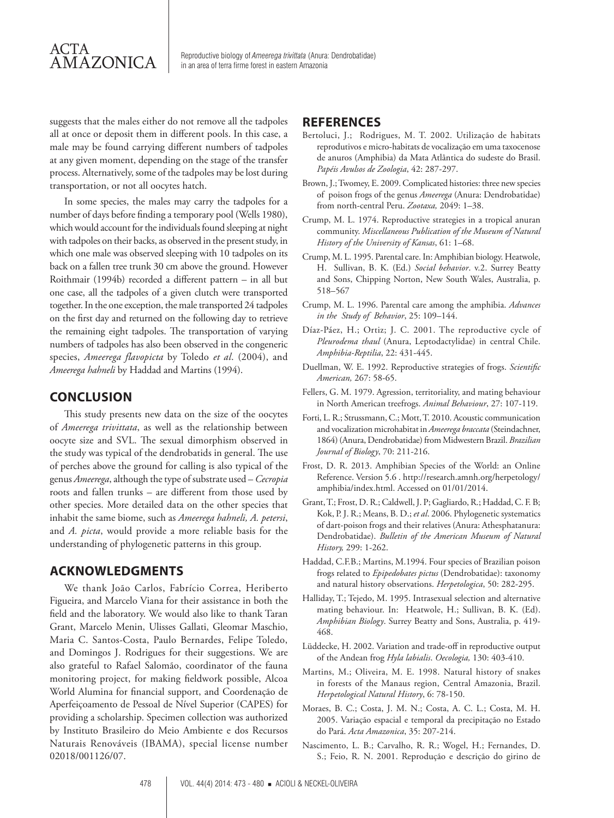Reproductive biology of *Ameerega trivittata* (Anura: Dendrobatidae) in an area of terra firme forest in eastern Amazonia

suggests that the males either do not remove all the tadpoles all at once or deposit them in different pools. In this case, a male may be found carrying different numbers of tadpoles at any given moment, depending on the stage of the transfer process. Alternatively, some of the tadpoles may be lost during transportation, or not all oocytes hatch.

In some species, the males may carry the tadpoles for a number of days before finding a temporary pool (Wells 1980), which would account for the individuals found sleeping at night with tadpoles on their backs, as observed in the present study, in which one male was observed sleeping with 10 tadpoles on its back on a fallen tree trunk 30 cm above the ground. However Roithmair (1994b) recorded a different pattern – in all but one case, all the tadpoles of a given clutch were transported together. In the one exception, the male transported 24 tadpoles on the first day and returned on the following day to retrieve the remaining eight tadpoles. The transportation of varying numbers of tadpoles has also been observed in the congeneric species, *Ameerega flavopicta* by Toledo *et al*. (2004), and *Ameerega hahneli* by Haddad and Martins (1994).

## **CONCLUSION**

This study presents new data on the size of the oocytes of *Ameerega trivittata*, as well as the relationship between oocyte size and SVL. The sexual dimorphism observed in the study was typical of the dendrobatids in general. The use of perches above the ground for calling is also typical of the genus *Ameerega*, although the type of substrate used – *Cecropia* roots and fallen trunks – are different from those used by other species. More detailed data on the other species that inhabit the same biome, such as *Ameerega hahneli, A. petersi*, and *A. picta*, would provide a more reliable basis for the understanding of phylogenetic patterns in this group.

## **ACKNOWLEDGMENTS**

We thank João Carlos, Fabrício Correa, Heriberto Figueira, and Marcelo Viana for their assistance in both the field and the laboratory. We would also like to thank Taran Grant, Marcelo Menin, Ulisses Gallati, Gleomar Maschio, Maria C. Santos-Costa, Paulo Bernardes, Felipe Toledo, and Domingos J. Rodrigues for their suggestions. We are also grateful to Rafael Salomão, coordinator of the fauna monitoring project, for making fieldwork possible, Alcoa World Alumina for financial support, and Coordenação de Aperfeiçoamento de Pessoal de Nível Superior (CAPES) for providing a scholarship. Specimen collection was authorized by Instituto Brasileiro do Meio Ambiente e dos Recursos Naturais Renováveis (IBAMA), special license number 02018/001126/07.

## **REFERENCES**

- Bertoluci, J.; Rodrigues, M. T. 2002. Utilização de habitats reprodutivos e micro-habitats de vocalização em uma taxocenose de anuros (Amphibia) da Mata Atlântica do sudeste do Brasil. *Papéis Avulsos de Zoologia*, 42: 287-297.
- Brown, J.; Twomey, E. 2009. Complicated histories: three new species of poison frogs of the genus *Ameerega* (Anura: Dendrobatidae) from north-central Peru. *Zootaxa,* 2049: 1–38.
- Crump, M. L. 1974. Reproductive strategies in a tropical anuran community. *Miscellaneous Publication of the Museum of Natural History of the University of Kansas*, 61: 1–68.
- Crump, M. L. 1995. Parental care. In: Amphibian biology. Heatwole, H. Sullivan, B. K. (Ed.) *Social behavior*. v.2. Surrey Beatty and Sons, Chipping Norton, New South Wales, Australia, p. 518–567
- Crump, M. L. 1996. Parental care among the amphibia. *Advances in the Study of Behavior*, 25: 109–144.
- Díaz-Páez, H.; Ortiz; J. C. 2001. The reproductive cycle of *Pleurodema thaul* (Anura, Leptodactylidae) in central Chile. *Amphibia-Reptilia*, 22: 431-445.
- Duellman, W. E. 1992. Reproductive strategies of frogs. *Scientific American,* 267: 58-65.
- Fellers, G. M. 1979. Agression, territoriality, and mating behaviour in North American treefrogs. *Animal Behaviour*, 27: 107-119.
- Forti, L. R.; Strussmann, C.; Mott, T. 2010. Acoustic communication and vocalization microhabitat in *Ameerega braccata* (Steindachner, 1864) (Anura, Dendrobatidae) from Midwestern Brazil. *Brazilian Journal of Biology*, 70: 211-216.
- Frost, D. R. 2013. Amphibian Species of the World: an Online Reference. Version 5.6 . http://research.amnh.org/herpetology/ amphibia/index.html. Accessed on 01/01/2014.
- Grant, T.; Frost, D. R.; Caldwell, J. P; Gagliardo, R.; Haddad, C. F. B; Kok, P. J. R.; Means, B. D.; *et al*. 2006. Phylogenetic systematics of dart-poison frogs and their relatives (Anura: Athesphatanura: Dendrobatidae). *Bulletin of the American Museum of Natural History,* 299: 1-262.
- Haddad, C.F.B.; Martins, M.1994. Four species of Brazilian poison frogs related to *Epipedobates pictus* (Dendrobatidae): taxonomy and natural history observations. *Herpetologica*, 50: 282-295.
- Halliday, T.; Tejedo, M. 1995. Intrasexual selection and alternative mating behaviour. In: Heatwole, H.; Sullivan, B. K. (Ed). *Amphibian Biology*. Surrey Beatty and Sons, Australia, p. 419- 468.
- Lüddecke, H. 2002. Variation and trade-off in reproductive output of the Andean frog *Hyla labialis*. *Oecologia,* 130: 403-410.
- Martins, M.; Oliveira, M. E. 1998. Natural history of snakes in forests of the Manaus region, Central Amazonia, Brazil. *Herpetological Natural History*, 6: 78-150.
- Moraes, B. C.; Costa, J. M. N.; Costa, A. C. L.; Costa, M. H. 2005. Variação espacial e temporal da precipitação no Estado do Pará. *Acta Amazonica*, 35: 207-214.
- Nascimento, L. B.; Carvalho, R. R.; Wogel, H.; Fernandes, D. S.; Feio, R. N. 2001. Reprodução e descrição do girino de